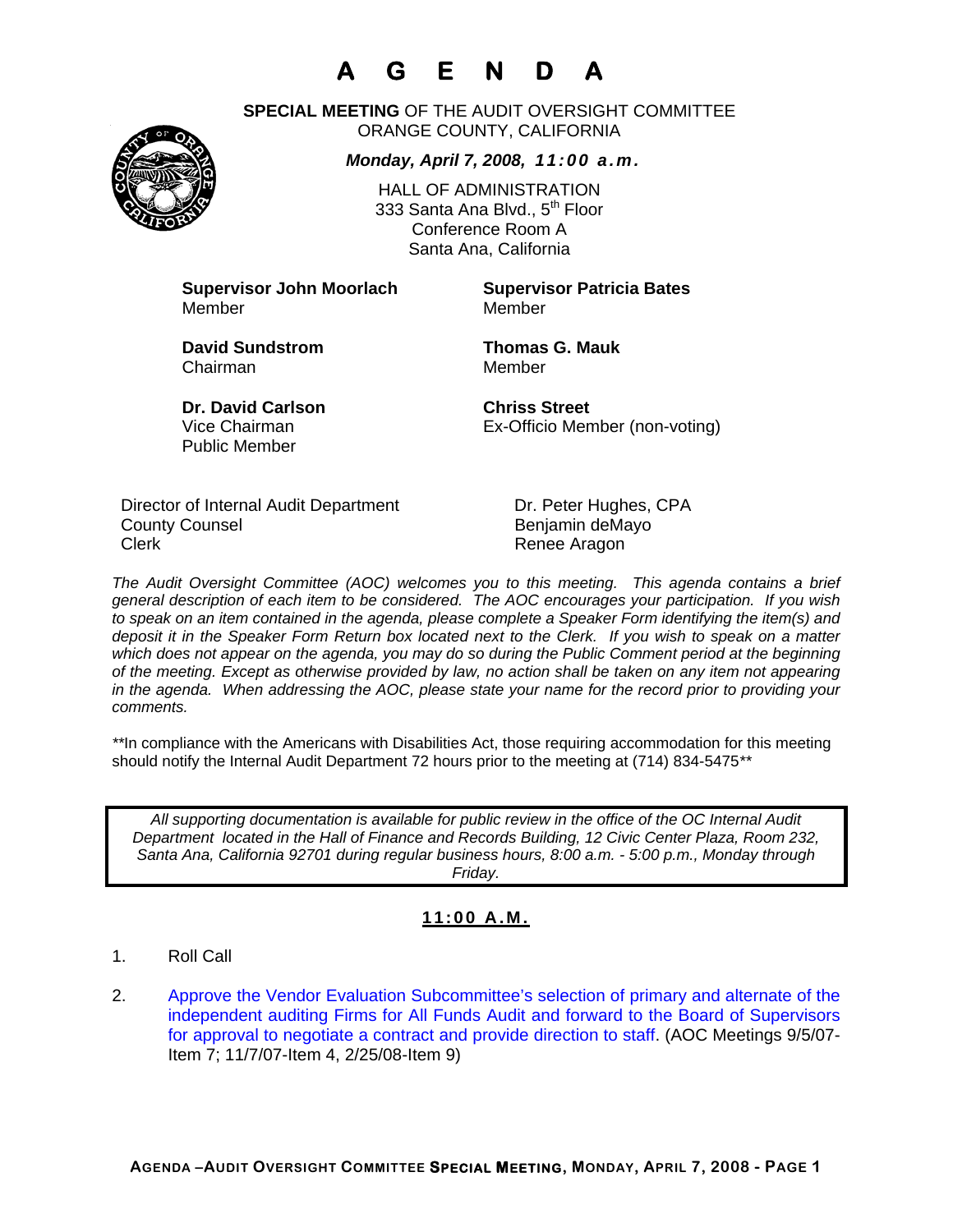# **A G E N D A**



**SPECIAL MEETING** OF THE AUDIT OVERSIGHT COMMITTEE ORANGE COUNTY, CALIFORNIA

#### *Monday, April 7, 2008, 11:00 a.m.*

HALL OF ADMINISTRATION 333 Santa Ana Blvd., 5<sup>th</sup> Floor Conference Room A Santa Ana, California

**Supervisor John Moorlach Supervisor Patricia Bates** Member Member

Chairman Member

**David Sundstrom Thomas G. Mauk** 

**Dr. David Carlson Chriss Street**  Public Member

Vice Chairman Ex-Officio Member (non-voting)

Director of Internal Audit Department Dr. Peter Hughes, CPA County Counsel **Benjamin** deMayo Clerk **Clerk Renee Aragon** 

*The Audit Oversight Committee (AOC) welcomes you to this meeting. This agenda contains a brief general description of each item to be considered. The AOC encourages your participation. If you wish to speak on an item contained in the agenda, please complete a Speaker Form identifying the item(s) and deposit it in the Speaker Form Return box located next to the Clerk. If you wish to speak on a matter which does not appear on the agenda, you may do so during the Public Comment period at the beginning of the meeting. Except as otherwise provided by law, no action shall be taken on any item not appearing in the agenda. When addressing the AOC, please state your name for the record prior to providing your comments.* 

*\*\**In compliance with the Americans with Disabilities Act, those requiring accommodation for this meeting should notify the Internal Audit Department 72 hours prior to the meeting at (714) 834-5475*\*\** 

*All supporting documentation is available for public review in the office of the OC Internal Audit Department located in the Hall of Finance and Records Building, 12 Civic Center Plaza, Room 232, Santa Ana, California 92701 during regular business hours, 8:00 a.m. - 5:00 p.m., Monday through Friday.* 

### **11:00 A.M.**

- 1. Roll Call
- 2. Approve the Vendor Evaluation Subcommittee's selection of primary and alternate of the independent auditing Firms for All Funds Audit and forward to the Board of Supervisors for approval to negotiate a contract and provide direction to staff. (AOC Meetings 9/5/07- Item 7; 11/7/07-Item 4, 2/25/08-Item 9)